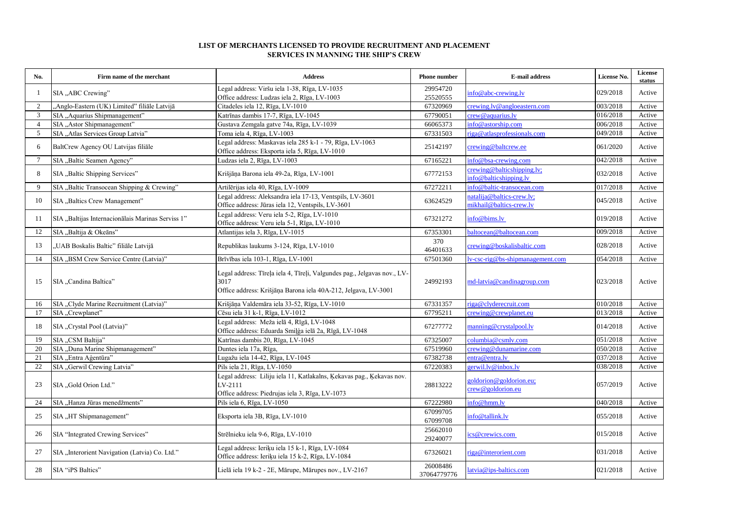## **LIST OF MERCHANTS LICENSED TO PROVIDE RECRUITMENT AND PLACEMENT SERVICES IN MANNING THE SHIP'S CREW**

| No.            | Firm name of the merchant                         | <b>Address</b>                                                                                                                                     | <b>Phone number</b>     | <b>E-mail address</b>                                | License No. | License<br>status |
|----------------|---------------------------------------------------|----------------------------------------------------------------------------------------------------------------------------------------------------|-------------------------|------------------------------------------------------|-------------|-------------------|
|                | SIA "ABC Crewing"                                 | Legal address: Viršu iela 1-38, Rīga, LV-1035<br>Office address: Ludzas iela 2, Rīga, LV-1003                                                      | 29954720<br>25520555    | info@abc-crewing.lv                                  | 029/2018    | Active            |
| 2              | "Anglo-Eastern (UK) Limited" filiāle Latvijā      | Citadeles iela 12, Rīga, LV-1010                                                                                                                   | 67320969                | crewing.ly@angloeastern.com                          | 003/2018    | Active            |
| 3              | SIA "Aquarius Shipmanagement"                     | Katrīnas dambis 17-7, Rīga, LV-1045                                                                                                                | 67790051                | crew@aquarius.lv                                     | 016/2018    | Active            |
| $\overline{4}$ | SIA "Astor Shipmanagement"                        | Gustava Zemgala gatve 74a, Rīga, LV-1039                                                                                                           | 66065373                | info@astorship.com                                   | 006/2018    | Active            |
| 5              | SIA "Atlas Services Group Latvia"                 | Toma iela 4, Rīga, LV-1003                                                                                                                         | 67331503                | riga@atlasprofessionals.com                          | 049/2018    | Active            |
| 6              | BaltCrew Agency OU Latvijas filiāle               | Legal address: Maskavas iela 285 k-1 - 79, Rīga, LV-1063<br>Office address: Eksporta iela 5, Rīga, LV-1010                                         | 25142197                | crewing@baltcrew.ee                                  | 061/2020    | Active            |
| $\overline{7}$ | SIA "Baltic Seamen Agency"                        | Ludzas iela 2, Rīga, LV-1003                                                                                                                       | 67165221                | info@bsa-crewing.com                                 | 042/2018    | Active            |
| 8              | SIA "Baltic Shipping Services"                    | Krišjāņa Barona iela 49-2a, Rīga, LV-1001                                                                                                          | 67772153                | crewing@balticshipping.lv;<br>info@balticshipping.lv | 032/2018    | Active            |
| 9              | SIA "Baltic Transocean Shipping & Crewing"        | Artilērijas iela 40, Rīga, LV-1009                                                                                                                 | 67272211                | info@baltic-transocean.com                           | 017/2018    | Active            |
| 10             | SIA "Baltics Crew Management"                     | Legal address: Aleksandra iela 17-13, Ventspils, LV-3601<br>Office address: Jūras iela 12, Ventspils, LV-3601                                      | 63624529                | natalija@baltics-crew.lv;<br>mikhail@baltics-crew.lv | 045/2018    | Active            |
| 11             | SIA "Baltijas Internacionālais Marinas Serviss 1" | Legal address: Veru iela 5-2, Rīga, LV-1010<br>Office address: Veru iela 5-1, Rīga, LV-1010                                                        | 67321272                | info@bims.lv                                         | 019/2018    | Active            |
| 12             | SIA "Baltija & Okeāns"                            | Atlantijas iela 3, Rīga, LV-1015                                                                                                                   | 67353301                | baltocean@baltocean.com                              | 009/2018    | Active            |
| 13             | "UAB Boskalis Baltic" filiāle Latvijā             | Republikas laukums 3-124, Rīga, LV-1010                                                                                                            | 370<br>46401633         | crewing@boskalisbaltic.com                           | 028/2018    | Active            |
| 14             | SIA "BSM Crew Service Centre (Latvia)"            | Brīvības iela 103-1, Rīga, LV-1001                                                                                                                 | 67501360                | lv-csc-rig@bs-shipmanagement.com                     | 054/2018    | Active            |
| 15             | SIA "Candina Baltica"                             | Legal address: Tīreļa iela 4, Tīreļi, Valgundes pag., Jelgavas nov., LV-<br>3017<br>Office address: Krišjāņa Barona iela 40A-212, Jelgava, LV-3001 | 24992193                | md-latvia@candinagroup.com                           | 023/2018    | Active            |
| 16             | SIA "Clyde Marine Recruitment (Latvia)"           | Krišjāņa Valdemāra iela 33-52, Rīga, LV-1010                                                                                                       | 67331357                | riga@clyderecruit.com                                | 010/2018    | Active            |
| 17             | SIA "Crewplanet"                                  | Cēsu iela 31 k-1, Rīga, LV-1012                                                                                                                    | 67795211                | crewing@crewplanet.eu                                | 013/2018    | Active            |
| 18             | SIA "Crystal Pool (Latvia)"                       | Legal address: Meža ielā 4, Rīgā, LV-1048<br>Office address: Eduarda Smiļģa ielā 2a, Rīgā, LV-1048                                                 | 67277772                | manning@crystalpool.lv                               | 014/2018    | Active            |
| 19             | SIA "CSM Baltija"                                 | Katrīnas dambis 20, Rīga, LV-1045                                                                                                                  | 67325007                | columbia@csmlv.com                                   | 051/2018    | Active            |
| 20             | SIA "Duna Marine Shipmanagement"                  | Duntes iela 17a, Rīga,                                                                                                                             | 67519960                | crewing@dunamarine.com                               | 050/2018    | Active            |
| 21             | SIA "Entra Aģentūra"                              | Lugažu iela 14-42, Rīga, LV-1045                                                                                                                   | 67382738                | entra@entra.lv                                       | 037/2018    | Active            |
| 22             | SIA "Gerwil Crewing Latvia"                       | Pils iela 21, Rīga, LV-1050                                                                                                                        | 67220383                | gerwil.lv@inbox.lv                                   | 038/2018    | Active            |
| 23             | SIA "Gold Orion Ltd."                             | Legal address: Liliju iela 11, Katlakalns, Ķekavas pag., Ķekavas nov.<br>LV-2111<br>Office address: Piedrujas iela 3, Rīga, LV-1073                | 28813222                | goldorion@goldorion.eu;<br>crew@goldorion.eu         | 057/2019    | Active            |
| 24             | SIA "Hanza Jūras menedžments"                     | Pils iela 6, Rīga, LV-1050                                                                                                                         | 67222980                | info@hmm.lv                                          | 040/2018    | Active            |
| 25             | SIA "HT Shipmanagement"                           | Eksporta iela 3B, Rīga, LV-1010                                                                                                                    | 67099705<br>67099708    | info@tallink.lv                                      | 055/2018    | Active            |
| 26             | SIA "Integrated Crewing Services"                 | Strēlnieku iela 9-6, Rīga, LV-1010                                                                                                                 | 25662010<br>29240077    | cs@crewics.com                                       | 015/2018    | Active            |
| 27             | SIA "Interorient Navigation (Latvia) Co. Ltd."    | Legal address: Ieriķu iela 15 k-1, Rīga, LV-1084<br>Office address: Ieriķu iela 15 k-2, Rīga, LV-1084                                              | 67326021                | riga@interorient.com                                 | 031/2018    | Active            |
| 28             | SIA "iPS Baltics"                                 | Lielā iela 19 k-2 - 2E, Mārupe, Mārupes nov., LV-2167                                                                                              | 26008486<br>37064779776 | latvia@ips-baltics.com                               | 021/2018    | Active            |